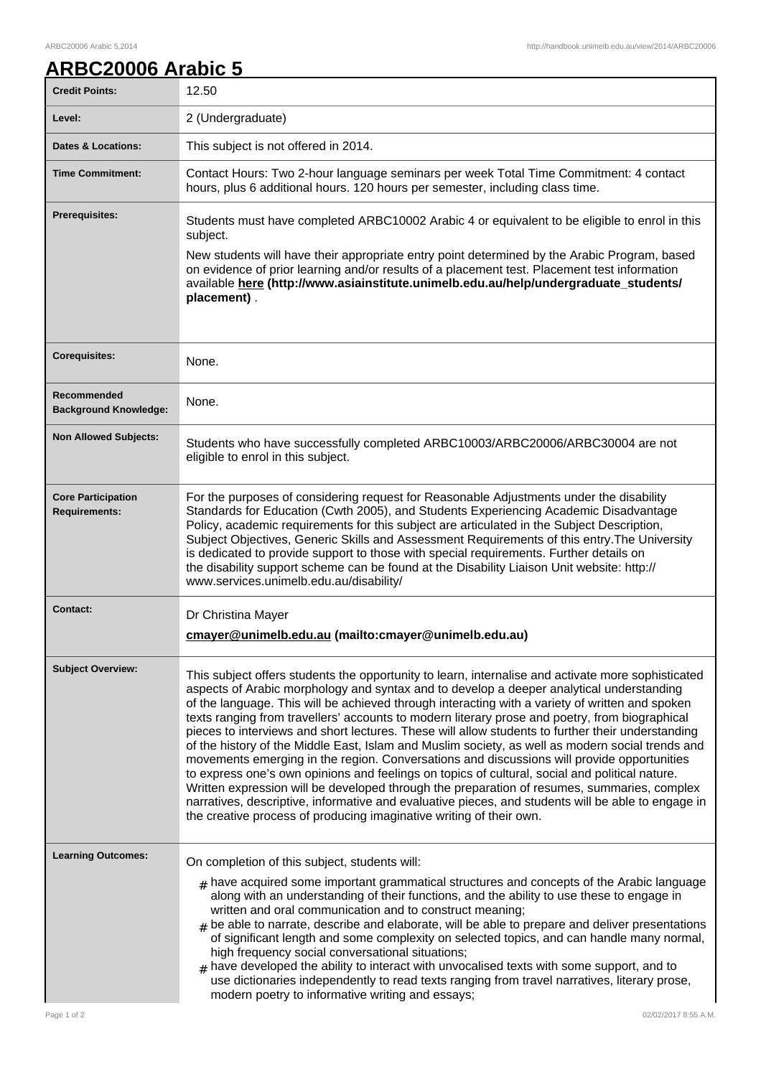## **ARBC20006 Arabic 5**

| <b>Credit Points:</b>                             | 12.50                                                                                                                                                                                                                                                                                                                                                                                                                                                                                                                                                                                                                                                                                                                                                                                                                                                                                                                                                                                                                                                                                    |
|---------------------------------------------------|------------------------------------------------------------------------------------------------------------------------------------------------------------------------------------------------------------------------------------------------------------------------------------------------------------------------------------------------------------------------------------------------------------------------------------------------------------------------------------------------------------------------------------------------------------------------------------------------------------------------------------------------------------------------------------------------------------------------------------------------------------------------------------------------------------------------------------------------------------------------------------------------------------------------------------------------------------------------------------------------------------------------------------------------------------------------------------------|
| Level:                                            | 2 (Undergraduate)                                                                                                                                                                                                                                                                                                                                                                                                                                                                                                                                                                                                                                                                                                                                                                                                                                                                                                                                                                                                                                                                        |
| <b>Dates &amp; Locations:</b>                     | This subject is not offered in 2014.                                                                                                                                                                                                                                                                                                                                                                                                                                                                                                                                                                                                                                                                                                                                                                                                                                                                                                                                                                                                                                                     |
| <b>Time Commitment:</b>                           | Contact Hours: Two 2-hour language seminars per week Total Time Commitment: 4 contact<br>hours, plus 6 additional hours. 120 hours per semester, including class time.                                                                                                                                                                                                                                                                                                                                                                                                                                                                                                                                                                                                                                                                                                                                                                                                                                                                                                                   |
| <b>Prerequisites:</b>                             | Students must have completed ARBC10002 Arabic 4 or equivalent to be eligible to enrol in this<br>subject.<br>New students will have their appropriate entry point determined by the Arabic Program, based<br>on evidence of prior learning and/or results of a placement test. Placement test information<br>available here (http://www.asiainstitute.unimelb.edu.au/help/undergraduate_students/<br>placement).                                                                                                                                                                                                                                                                                                                                                                                                                                                                                                                                                                                                                                                                         |
| <b>Corequisites:</b>                              | None.                                                                                                                                                                                                                                                                                                                                                                                                                                                                                                                                                                                                                                                                                                                                                                                                                                                                                                                                                                                                                                                                                    |
| Recommended<br><b>Background Knowledge:</b>       | None.                                                                                                                                                                                                                                                                                                                                                                                                                                                                                                                                                                                                                                                                                                                                                                                                                                                                                                                                                                                                                                                                                    |
| <b>Non Allowed Subjects:</b>                      | Students who have successfully completed ARBC10003/ARBC20006/ARBC30004 are not<br>eligible to enrol in this subject.                                                                                                                                                                                                                                                                                                                                                                                                                                                                                                                                                                                                                                                                                                                                                                                                                                                                                                                                                                     |
| <b>Core Participation</b><br><b>Requirements:</b> | For the purposes of considering request for Reasonable Adjustments under the disability<br>Standards for Education (Cwth 2005), and Students Experiencing Academic Disadvantage<br>Policy, academic requirements for this subject are articulated in the Subject Description,<br>Subject Objectives, Generic Skills and Assessment Requirements of this entry. The University<br>is dedicated to provide support to those with special requirements. Further details on<br>the disability support scheme can be found at the Disability Liaison Unit website: http://<br>www.services.unimelb.edu.au/disability/                                                                                                                                                                                                                                                                                                                                                                                                                                                                         |
| <b>Contact:</b>                                   | Dr Christina Mayer<br>cmayer@unimelb.edu.au (mailto:cmayer@unimelb.edu.au)                                                                                                                                                                                                                                                                                                                                                                                                                                                                                                                                                                                                                                                                                                                                                                                                                                                                                                                                                                                                               |
| <b>Subject Overview:</b>                          | This subject offers students the opportunity to learn, internalise and activate more sophisticated<br>aspects of Arabic morphology and syntax and to develop a deeper analytical understanding<br>of the language. This will be achieved through interacting with a variety of written and spoken<br>texts ranging from travellers' accounts to modern literary prose and poetry, from biographical<br>pieces to interviews and short lectures. These will allow students to further their understanding<br>of the history of the Middle East, Islam and Muslim society, as well as modern social trends and<br>movements emerging in the region. Conversations and discussions will provide opportunities<br>to express one's own opinions and feelings on topics of cultural, social and political nature.<br>Written expression will be developed through the preparation of resumes, summaries, complex<br>narratives, descriptive, informative and evaluative pieces, and students will be able to engage in<br>the creative process of producing imaginative writing of their own. |
| <b>Learning Outcomes:</b>                         | On completion of this subject, students will:<br>$_{\#}$ have acquired some important grammatical structures and concepts of the Arabic language<br>along with an understanding of their functions, and the ability to use these to engage in<br>written and oral communication and to construct meaning;<br>$_{\text{\#}}$ be able to narrate, describe and elaborate, will be able to prepare and deliver presentations<br>of significant length and some complexity on selected topics, and can handle many normal,<br>high frequency social conversational situations;<br>$_{\#}$ have developed the ability to interact with unvocalised texts with some support, and to<br>use dictionaries independently to read texts ranging from travel narratives, literary prose,<br>modern poetry to informative writing and essays;                                                                                                                                                                                                                                                        |